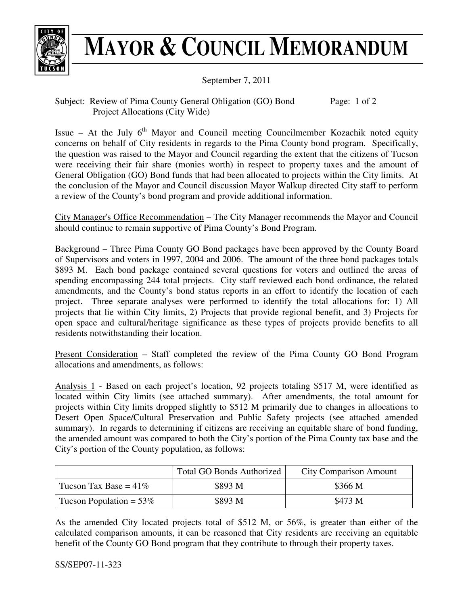

## **MAYOR & COUNCIL MEMORANDUM**

September 7, 2011

Subject: Review of Pima County General Obligation (GO) Bond Project Allocations (City Wide) Page: 1 of 2

Issue – At the July  $6<sup>th</sup>$  Mayor and Council meeting Councilmember Kozachik noted equity concerns on behalf of City residents in regards to the Pima County bond program. Specifically, the question was raised to the Mayor and Council regarding the extent that the citizens of Tucson were receiving their fair share (monies worth) in respect to property taxes and the amount of General Obligation (GO) Bond funds that had been allocated to projects within the City limits. At the conclusion of the Mayor and Council discussion Mayor Walkup directed City staff to perform a review of the County's bond program and provide additional information.

City Manager's Office Recommendation – The City Manager recommends the Mayor and Council should continue to remain supportive of Pima County's Bond Program.

Background – Three Pima County GO Bond packages have been approved by the County Board of Supervisors and voters in 1997, 2004 and 2006. The amount of the three bond packages totals \$893 M. Each bond package contained several questions for voters and outlined the areas of spending encompassing 244 total projects. City staff reviewed each bond ordinance, the related amendments, and the County's bond status reports in an effort to identify the location of each project. Three separate analyses were performed to identify the total allocations for: 1) All projects that lie within City limits, 2) Projects that provide regional benefit, and 3) Projects for open space and cultural/heritage significance as these types of projects provide benefits to all residents notwithstanding their location.

Present Consideration – Staff completed the review of the Pima County GO Bond Program allocations and amendments, as follows:

Analysis 1 - Based on each project's location, 92 projects totaling \$517 M, were identified as located within City limits (see attached summary). After amendments, the total amount for projects within City limits dropped slightly to \$512 M primarily due to changes in allocations to Desert Open Space/Cultural Preservation and Public Safety projects (see attached amended summary). In regards to determining if citizens are receiving an equitable share of bond funding, the amended amount was compared to both the City's portion of the Pima County tax base and the City's portion of the County population, as follows:

|                            | <b>Total GO Bonds Authorized</b> | <b>City Comparison Amount</b> |
|----------------------------|----------------------------------|-------------------------------|
| Tucson Tax Base = $41\%$   | \$893 M                          | \$366 M                       |
| Tucson Population = $53\%$ | \$893 M                          | \$473 M                       |

As the amended City located projects total of \$512 M, or 56%, is greater than either of the calculated comparison amounts, it can be reasoned that City residents are receiving an equitable benefit of the County GO Bond program that they contribute to through their property taxes.

SS/SEP07-11-323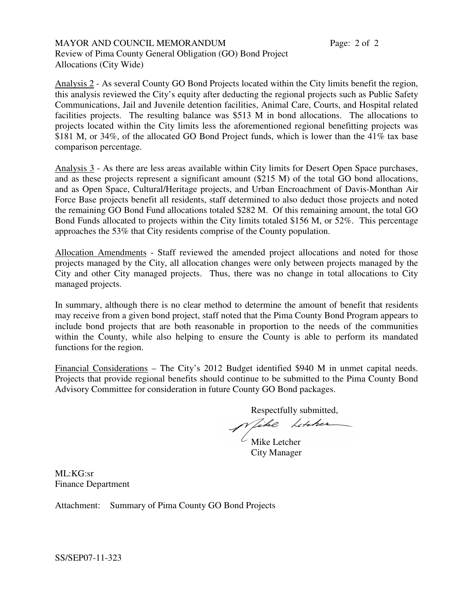MAYOR AND COUNCIL MEMORANDUM Review of Pima County General Obligation (GO) Bond Project Allocations (City Wide)

Analysis 2 - As several County GO Bond Projects located within the City limits benefit the region, this analysis reviewed the City's equity after deducting the regional projects such as Public Safety Communications, Jail and Juvenile detention facilities, Animal Care, Courts, and Hospital related facilities projects. The resulting balance was \$513 M in bond allocations. The allocations to projects located within the City limits less the aforementioned regional benefitting projects was \$181 M, or 34%, of the allocated GO Bond Project funds, which is lower than the 41% tax base comparison percentage.

Analysis 3 - As there are less areas available within City limits for Desert Open Space purchases, and as these projects represent a significant amount (\$215 M) of the total GO bond allocations, and as Open Space, Cultural/Heritage projects, and Urban Encroachment of Davis-Monthan Air Force Base projects benefit all residents, staff determined to also deduct those projects and noted the remaining GO Bond Fund allocations totaled \$282 M. Of this remaining amount, the total GO Bond Funds allocated to projects within the City limits totaled \$156 M, or 52%. This percentage approaches the 53% that City residents comprise of the County population.

Allocation Amendments - Staff reviewed the amended project allocations and noted for those projects managed by the City, all allocation changes were only between projects managed by the City and other City managed projects. Thus, there was no change in total allocations to City managed projects.

In summary, although there is no clear method to determine the amount of benefit that residents may receive from a given bond project, staff noted that the Pima County Bond Program appears to include bond projects that are both reasonable in proportion to the needs of the communities within the County, while also helping to ensure the County is able to perform its mandated functions for the region.

Financial Considerations – The City's 2012 Budget identified \$940 M in unmet capital needs. Projects that provide regional benefits should continue to be submitted to the Pima County Bond Advisory Committee for consideration in future County GO Bond packages.

Respectfully submitted,

like Litcher

 $\angle$  Mike Letcher City Manager

ML:KG:sr Finance Department

Attachment: Summary of Pima County GO Bond Projects